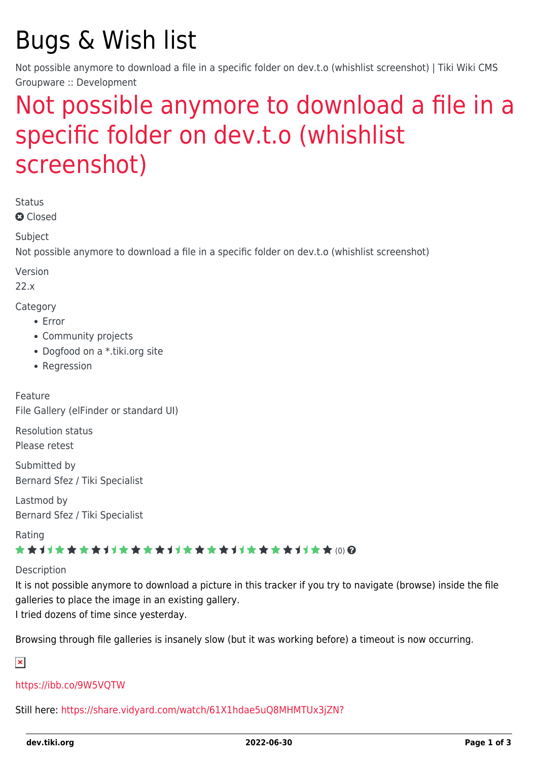# Bugs & Wish list

Not possible anymore to download a file in a specific folder on dev.t.o (whishlist screenshot) | Tiki Wiki CMS Groupware :: Development

# [Not possible anymore to download a file in a](https://dev.tiki.org/item7658-Not-possible-anymore-to-download-a-file-in-a-specific-folder-on-dev-t-o-whishlist-screenshot) [specific folder on dev.t.o \(whishlist](https://dev.tiki.org/item7658-Not-possible-anymore-to-download-a-file-in-a-specific-folder-on-dev-t-o-whishlist-screenshot) [screenshot\)](https://dev.tiki.org/item7658-Not-possible-anymore-to-download-a-file-in-a-specific-folder-on-dev-t-o-whishlist-screenshot)

Status

**Q** Closed

Subject

Not possible anymore to download a file in a specific folder on dev.t.o (whishlist screenshot)

Version

22.x

Category

- Error
- Community projects
- Dogfood on a \*.tiki.org site
- Regression

Feature File Gallery (elFinder or standard UI)

Resolution status Please retest

Submitted by Bernard Sfez / Tiki Specialist

Lastmod by Bernard Sfez / Tiki Specialist

Rating

### \*\*\*\*\*\*\*\*\*\*\*\*\*\*\*\*\*\*\*\*\*\*\*\*\*\*\*\*\*\*\*

Description

It is not possible anymore to download a picture in this tracker if you try to navigate (browse) inside the file galleries to place the image in an existing gallery.

I tried dozens of time since yesterday.

Browsing through file galleries is insanely slow (but it was working before) a timeout is now occurring.

 $\pmb{\times}$ 

### <https://ibb.co/9W5VQTW>

Still here: <https://share.vidyard.com/watch/61X1hdae5uQ8MHMTUx3jZN?>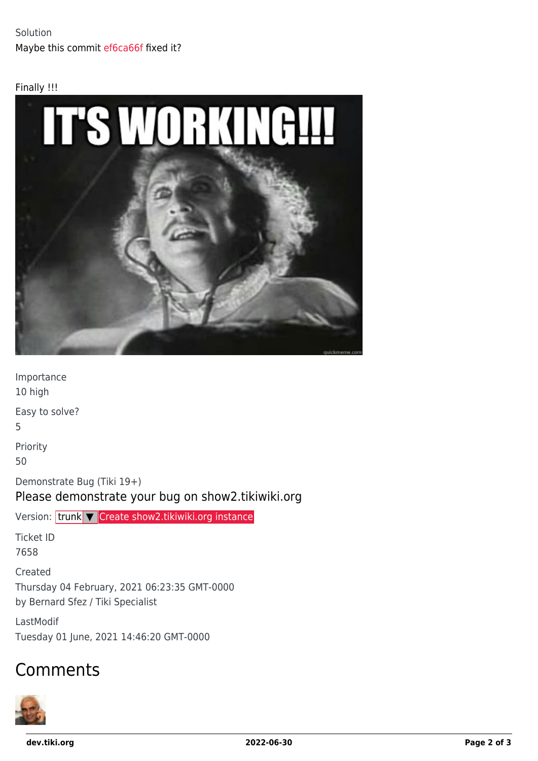#### Finally !!!



Importance 10 high Easy to solve? 5 Priority 50 Demonstrate Bug (Tiki 19+) Please demonstrate your bug on show2.tikiwiki.org Version: trunk ▼ [Create show2.tikiwiki.org instance](#page--1-0) Ticket ID 7658 Created Thursday 04 February, 2021 06:23:35 GMT-0000 by Bernard Sfez / Tiki Specialist

LastModif Tuesday 01 June, 2021 14:46:20 GMT-0000

## Comments



**dev.tiki.org 2022-06-30 Page 2 of 3**